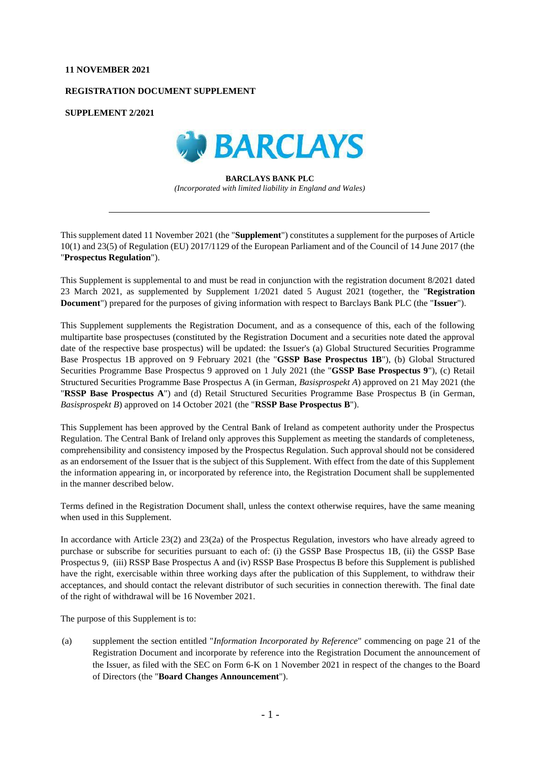#### **11 NOVEMBER 2021**

### **REGISTRATION DOCUMENT SUPPLEMENT**

**SUPPLEMENT 2/2021**



#### **BARCLAYS BANK PLC** *(Incorporated with limited liability in England and Wales)*

This supplement dated 11 November 2021 (the "**Supplement**") constitutes a supplement for the purposes of Article 10(1) and 23(5) of Regulation (EU) 2017/1129 of the European Parliament and of the Council of 14 June 2017 (the "**Prospectus Regulation**").

This Supplement is supplemental to and must be read in conjunction with the registration document 8/2021 dated 23 March 2021, as supplemented by Supplement 1/2021 dated 5 August 2021 (together, the "**Registration Document**") prepared for the purposes of giving information with respect to Barclays Bank PLC (the "**Issuer**").

This Supplement supplements the Registration Document, and as a consequence of this, each of the following multipartite base prospectuses (constituted by the Registration Document and a securities note dated the approval date of the respective base prospectus) will be updated: the Issuer's (a) Global Structured Securities Programme Base Prospectus 1B approved on 9 February 2021 (the "**GSSP Base Prospectus 1B**"), (b) Global Structured Securities Programme Base Prospectus 9 approved on 1 July 2021 (the "**GSSP Base Prospectus 9**"), (c) Retail Structured Securities Programme Base Prospectus A (in German, *Basisprospekt A*) approved on 21 May 2021 (the "**RSSP Base Prospectus A**") and (d) Retail Structured Securities Programme Base Prospectus B (in German, *Basisprospekt B*) approved on 14 October 2021 (the "**RSSP Base Prospectus B**").

This Supplement has been approved by the Central Bank of Ireland as competent authority under the Prospectus Regulation. The Central Bank of Ireland only approves this Supplement as meeting the standards of completeness, comprehensibility and consistency imposed by the Prospectus Regulation. Such approval should not be considered as an endorsement of the Issuer that is the subject of this Supplement. With effect from the date of this Supplement the information appearing in, or incorporated by reference into, the Registration Document shall be supplemented in the manner described below.

Terms defined in the Registration Document shall, unless the context otherwise requires, have the same meaning when used in this Supplement.

In accordance with Article 23(2) and 23(2a) of the Prospectus Regulation, investors who have already agreed to purchase or subscribe for securities pursuant to each of: (i) the GSSP Base Prospectus 1B, (ii) the GSSP Base Prospectus 9, (iii) RSSP Base Prospectus A and (iv) RSSP Base Prospectus B before this Supplement is published have the right, exercisable within three working days after the publication of this Supplement, to withdraw their acceptances, and should contact the relevant distributor of such securities in connection therewith. The final date of the right of withdrawal will be 16 November 2021.

The purpose of this Supplement is to:

(a) supplement the section entitled "*Information Incorporated by Reference*" commencing on page 21 of the Registration Document and incorporate by reference into the Registration Document the announcement of the Issuer, as filed with the SEC on Form 6-K on 1 November 2021 in respect of the changes to the Board of Directors (the "**Board Changes Announcement**").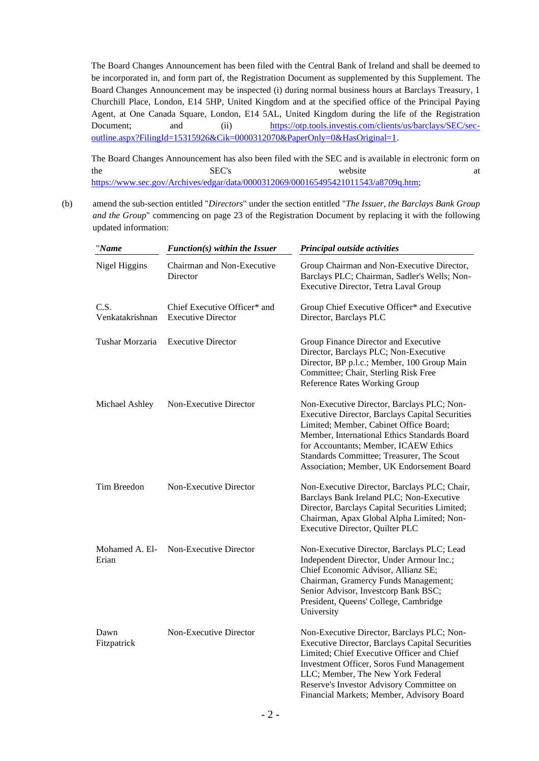The Board Changes Announcement has been filed with the Central Bank of Ireland and shall be deemed to be incorporated in, and form part of, the Registration Document as supplemented by this Supplement. The Board Changes Announcement may be inspected (i) during normal business hours at Barclays Treasury, 1 Churchill Place, London, E14 5HP, United Kingdom and at the specified office of the Principal Paying Agent, at One Canada Square, London, E14 5AL, United Kingdom during the life of the Registration Document; and (ii) [https://otp.tools.investis.com/clients/us/barclays/SEC/sec](https://otp.tools.investis.com/clients/us/barclays/SEC/sec-outline.aspx?FilingId=15315926&Cik=0000312070&PaperOnly=0&HasOriginal=1)[outline.aspx?FilingId=15315926&Cik=0000312070&PaperOnly=0&HasOriginal=1.](https://otp.tools.investis.com/clients/us/barclays/SEC/sec-outline.aspx?FilingId=15315926&Cik=0000312070&PaperOnly=0&HasOriginal=1)

The Board Changes Announcement has also been filed with the SEC and is available in electronic form on the SEC's at a set of  $SEC$ 's at a set of  $SEC$ 's a set of  $SEC$ 's a set of  $SEC$ 's a set of  $SEC$ 's a set of  $SEC$ 's a set of  $SE$ [https://www.sec.gov/Archives/edgar/data/0000312069/000165495421011543/a8709q.htm;](https://www.sec.gov/Archives/edgar/data/0000312069/000165495421011543/a8709q.htm)

(b) amend the sub-section entitled "*Directors*" under the section entitled "*The Issuer, the Barclays Bank Group and the Group*" commencing on page 23 of the Registration Document by replacing it with the following updated information:

| "Name                   | $Function(s)$ within the Issuer                           | Principal outside activities                                                                                                                                                                                                                                                                                                      |  |
|-------------------------|-----------------------------------------------------------|-----------------------------------------------------------------------------------------------------------------------------------------------------------------------------------------------------------------------------------------------------------------------------------------------------------------------------------|--|
| Nigel Higgins           | Chairman and Non-Executive<br>Director                    | Group Chairman and Non-Executive Director,<br>Barclays PLC; Chairman, Sadler's Wells; Non-<br>Executive Director, Tetra Laval Group                                                                                                                                                                                               |  |
| C.S.<br>Venkatakrishnan | Chief Executive Officer* and<br><b>Executive Director</b> | Group Chief Executive Officer* and Executive<br>Director, Barclays PLC                                                                                                                                                                                                                                                            |  |
| Tushar Morzaria         | <b>Executive Director</b>                                 | Group Finance Director and Executive<br>Director, Barclays PLC; Non-Executive<br>Director, BP p.l.c.; Member, 100 Group Main<br>Committee; Chair, Sterling Risk Free<br><b>Reference Rates Working Group</b>                                                                                                                      |  |
| Michael Ashley          | Non-Executive Director                                    | Non-Executive Director, Barclays PLC; Non-<br><b>Executive Director, Barclays Capital Securities</b><br>Limited; Member, Cabinet Office Board;<br>Member, International Ethics Standards Board<br>for Accountants; Member, ICAEW Ethics<br>Standards Committee; Treasurer, The Scout<br>Association; Member, UK Endorsement Board |  |
| Tim Breedon             | Non-Executive Director                                    | Non-Executive Director, Barclays PLC; Chair,<br>Barclays Bank Ireland PLC; Non-Executive<br>Director, Barclays Capital Securities Limited;<br>Chairman, Apax Global Alpha Limited; Non-<br>Executive Director, Quilter PLC                                                                                                        |  |
| Mohamed A. El-<br>Erian | Non-Executive Director                                    | Non-Executive Director, Barclays PLC; Lead<br>Independent Director, Under Armour Inc.;<br>Chief Economic Advisor, Allianz SE;<br>Chairman, Gramercy Funds Management;<br>Senior Advisor, Investcorp Bank BSC;<br>President, Queens' College, Cambridge<br>University                                                              |  |
| Dawn<br>Fitzpatrick     | Non-Executive Director                                    | Non-Executive Director, Barclays PLC; Non-<br>Executive Director, Barclays Capital Securities<br>Limited; Chief Executive Officer and Chief<br>Investment Officer, Soros Fund Management<br>LLC; Member, The New York Federal<br>Reserve's Investor Advisory Committee on<br>Financial Markets; Member, Advisory Board            |  |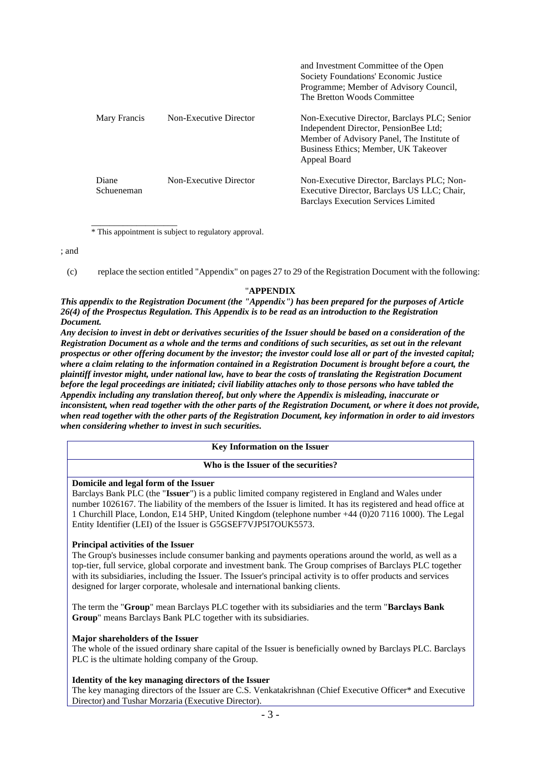|                     |                        | and Investment Committee of the Open<br>Society Foundations' Economic Justice<br>Programme; Member of Advisory Council,<br>The Bretton Woods Committee                                      |
|---------------------|------------------------|---------------------------------------------------------------------------------------------------------------------------------------------------------------------------------------------|
| Mary Francis        | Non-Executive Director | Non-Executive Director, Barclays PLC; Senior<br>Independent Director, PensionBee Ltd;<br>Member of Advisory Panel, The Institute of<br>Business Ethics; Member, UK Takeover<br>Appeal Board |
| Diane<br>Schueneman | Non-Executive Director | Non-Executive Director, Barclays PLC; Non-<br>Executive Director, Barclays US LLC; Chair,<br><b>Barclays Execution Services Limited</b>                                                     |

\_\_\_\_\_\_\_\_\_\_\_\_\_\_\_\_\_\_\_ \* This appointment is subject to regulatory approval.

; and

(c) replace the section entitled "Appendix" on pages 27 to 29 of the Registration Document with the following:

# "**APPENDIX**

*This appendix to the Registration Document (the "Appendix") has been prepared for the purposes of Article 26(4) of the Prospectus Regulation. This Appendix is to be read as an introduction to the Registration Document.* 

*Any decision to invest in debt or derivatives securities of the Issuer should be based on a consideration of the Registration Document as a whole and the terms and conditions of such securities, as set out in the relevant prospectus or other offering document by the investor; the investor could lose all or part of the invested capital; where a claim relating to the information contained in a Registration Document is brought before a court, the plaintiff investor might, under national law, have to bear the costs of translating the Registration Document before the legal proceedings are initiated; civil liability attaches only to those persons who have tabled the Appendix including any translation thereof, but only where the Appendix is misleading, inaccurate or inconsistent, when read together with the other parts of the Registration Document, or where it does not provide, when read together with the other parts of the Registration Document, key information in order to aid investors when considering whether to invest in such securities.*

## **Key Information on the Issuer**

### **Who is the Issuer of the securities?**

**Domicile and legal form of the Issuer**

Barclays Bank PLC (the "**Issuer**") is a public limited company registered in England and Wales under number 1026167. The liability of the members of the Issuer is limited. It has its registered and head office at 1 Churchill Place, London, E14 5HP, United Kingdom (telephone number +44 (0)20 7116 1000). The Legal Entity Identifier (LEI) of the Issuer is G5GSEF7VJP5I7OUK5573.

## **Principal activities of the Issuer**

The Group's businesses include consumer banking and payments operations around the world, as well as a top-tier, full service, global corporate and investment bank. The Group comprises of Barclays PLC together with its subsidiaries, including the Issuer. The Issuer's principal activity is to offer products and services designed for larger corporate, wholesale and international banking clients.

The term the "**Group**" mean Barclays PLC together with its subsidiaries and the term "**Barclays Bank Group**" means Barclays Bank PLC together with its subsidiaries.

## **Major shareholders of the Issuer**

The whole of the issued ordinary share capital of the Issuer is beneficially owned by Barclays PLC. Barclays PLC is the ultimate holding company of the Group.

## **Identity of the key managing directors of the Issuer**

The key managing directors of the Issuer are C.S. Venkatakrishnan (Chief Executive Officer\* and Executive Director) and Tushar Morzaria (Executive Director).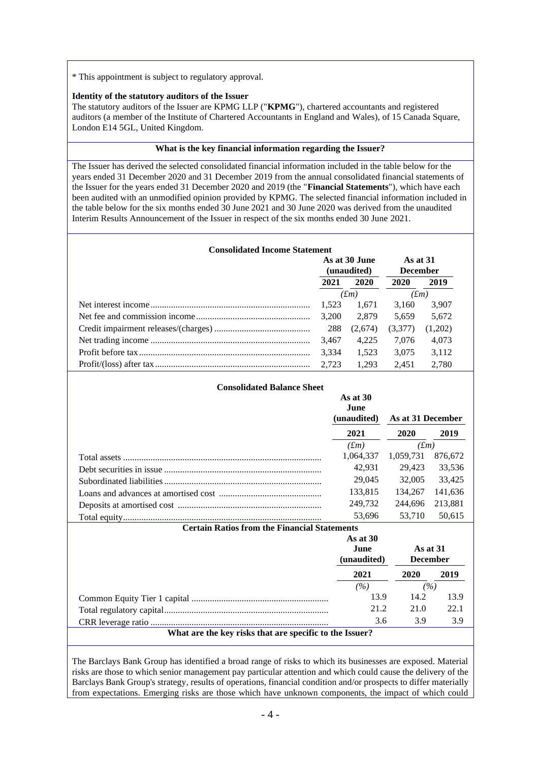\* This appointment is subject to regulatory approval.

### **Identity of the statutory auditors of the Issuer**

The statutory auditors of the Issuer are KPMG LLP ("**KPMG**"), chartered accountants and registered auditors (a member of the Institute of Chartered Accountants in England and Wales), of 15 Canada Square, London E14 5GL, United Kingdom.

### **What is the key financial information regarding the Issuer?**

The Issuer has derived the selected consolidated financial information included in the table below for the years ended 31 December 2020 and 31 December 2019 from the annual consolidated financial statements of the Issuer for the years ended 31 December 2020 and 2019 (the "**Financial Statements**"), which have each been audited with an unmodified opinion provided by KPMG. The selected financial information included in the table below for the six months ended 30 June 2021 and 30 June 2020 was derived from the unaudited Interim Results Announcement of the Issuer in respect of the six months ended 30 June 2021.

| <b>Consolidated Income Statement</b> |                              |         |                             |         |
|--------------------------------------|------------------------------|---------|-----------------------------|---------|
|                                      | As at 30 June<br>(unaudited) |         | As at 31<br><b>December</b> |         |
|                                      | 2021                         | 2020    | 2020                        | 2019    |
|                                      | $(f_m)$                      |         | (fm)                        |         |
|                                      | 1.523                        | 1.671   | 3.160                       | 3,907   |
|                                      | 3.200                        | 2.879   | 5.659                       | 5,672   |
|                                      | 288                          | (2,674) | (3,377)                     | (1,202) |
|                                      | 3.467                        | 4.225   | 7.076                       | 4.073   |
|                                      | 3.334                        | 1.523   | 3,075                       | 3,112   |
|                                      | 2.723                        | 1.293   | 2.451                       | 2,780   |

| <b>Consolidated Balance Sheet</b>                   |                                                        |                                              |         |  |  |
|-----------------------------------------------------|--------------------------------------------------------|----------------------------------------------|---------|--|--|
|                                                     | As at $30$<br>June<br>(unaudited)<br>As at 31 December |                                              |         |  |  |
|                                                     | 2021                                                   | 2020                                         | 2019    |  |  |
|                                                     | (fm)                                                   | $(f_m)$                                      |         |  |  |
|                                                     | 1,064,337                                              | 1,059,731                                    | 876,672 |  |  |
|                                                     | 42,931                                                 | 29,423                                       | 33,536  |  |  |
|                                                     | 29,045                                                 | 32,005                                       | 33.425  |  |  |
|                                                     | 133,815                                                | 134.267                                      | 141,636 |  |  |
|                                                     | 249,732                                                | 244.696                                      | 213,881 |  |  |
|                                                     | 53,696                                                 | 53,710                                       | 50,615  |  |  |
| <b>Certain Ratios from the Financial Statements</b> |                                                        |                                              |         |  |  |
|                                                     | As at $30$                                             |                                              |         |  |  |
|                                                     | June                                                   | As at $31$<br>(unaudited)<br><b>December</b> |         |  |  |
|                                                     | 2021                                                   | 2020                                         | 2019    |  |  |

|                                                         | (%)  | (%)  |      |
|---------------------------------------------------------|------|------|------|
|                                                         | 139  | 14.2 | 13.9 |
|                                                         | 21.2 | 21.0 | 22.1 |
|                                                         | 36   | -39  | 3.9  |
| What are the key risks that are specific to the Issuer? |      |      |      |

The Barclays Bank Group has identified a broad range of risks to which its businesses are exposed. Material risks are those to which senior management pay particular attention and which could cause the delivery of the Barclays Bank Group's strategy, results of operations, financial condition and/or prospects to differ materially from expectations. Emerging risks are those which have unknown components, the impact of which could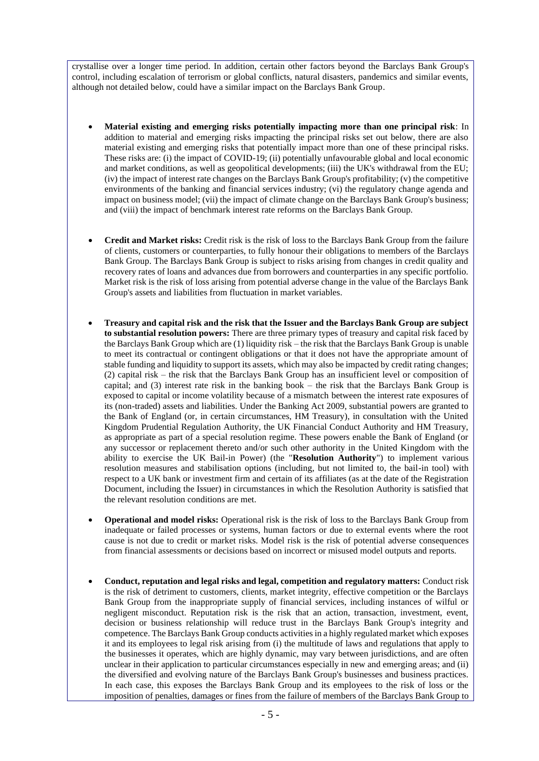crystallise over a longer time period. In addition, certain other factors beyond the Barclays Bank Group's control, including escalation of terrorism or global conflicts, natural disasters, pandemics and similar events, although not detailed below, could have a similar impact on the Barclays Bank Group.

- **Material existing and emerging risks potentially impacting more than one principal risk**: In addition to material and emerging risks impacting the principal risks set out below, there are also material existing and emerging risks that potentially impact more than one of these principal risks. These risks are: (i) the impact of COVID-19; (ii) potentially unfavourable global and local economic and market conditions, as well as geopolitical developments; (iii) the UK's withdrawal from the EU; (iv) the impact of interest rate changes on the Barclays Bank Group's profitability; (v) the competitive environments of the banking and financial services industry; (vi) the regulatory change agenda and impact on business model; (vii) the impact of climate change on the Barclays Bank Group's business; and (viii) the impact of benchmark interest rate reforms on the Barclays Bank Group.
- **Credit and Market risks:** Credit risk is the risk of loss to the Barclays Bank Group from the failure of clients, customers or counterparties, to fully honour their obligations to members of the Barclays Bank Group. The Barclays Bank Group is subject to risks arising from changes in credit quality and recovery rates of loans and advances due from borrowers and counterparties in any specific portfolio. Market risk is the risk of loss arising from potential adverse change in the value of the Barclays Bank Group's assets and liabilities from fluctuation in market variables.
- **Treasury and capital risk and the risk that the Issuer and the Barclays Bank Group are subject to substantial resolution powers:** There are three primary types of treasury and capital risk faced by the Barclays Bank Group which are (1) liquidity risk – the risk that the Barclays Bank Group is unable to meet its contractual or contingent obligations or that it does not have the appropriate amount of stable funding and liquidity to support its assets, which may also be impacted by credit rating changes; (2) capital risk – the risk that the Barclays Bank Group has an insufficient level or composition of capital; and (3) interest rate risk in the banking book – the risk that the Barclays Bank Group is exposed to capital or income volatility because of a mismatch between the interest rate exposures of its (non-traded) assets and liabilities. Under the Banking Act 2009, substantial powers are granted to the Bank of England (or, in certain circumstances, HM Treasury), in consultation with the United Kingdom Prudential Regulation Authority, the UK Financial Conduct Authority and HM Treasury, as appropriate as part of a special resolution regime. These powers enable the Bank of England (or any successor or replacement thereto and/or such other authority in the United Kingdom with the ability to exercise the UK Bail-in Power) (the "**Resolution Authority**") to implement various resolution measures and stabilisation options (including, but not limited to, the bail-in tool) with respect to a UK bank or investment firm and certain of its affiliates (as at the date of the Registration Document, including the Issuer) in circumstances in which the Resolution Authority is satisfied that the relevant resolution conditions are met.
- **Operational and model risks:** Operational risk is the risk of loss to the Barclays Bank Group from inadequate or failed processes or systems, human factors or due to external events where the root cause is not due to credit or market risks. Model risk is the risk of potential adverse consequences from financial assessments or decisions based on incorrect or misused model outputs and reports.
- **Conduct, reputation and legal risks and legal, competition and regulatory matters:** Conduct risk is the risk of detriment to customers, clients, market integrity, effective competition or the Barclays Bank Group from the inappropriate supply of financial services, including instances of wilful or negligent misconduct. Reputation risk is the risk that an action, transaction, investment, event, decision or business relationship will reduce trust in the Barclays Bank Group's integrity and competence. The Barclays Bank Group conducts activities in a highly regulated market which exposes it and its employees to legal risk arising from (i) the multitude of laws and regulations that apply to the businesses it operates, which are highly dynamic, may vary between jurisdictions, and are often unclear in their application to particular circumstances especially in new and emerging areas; and (ii) the diversified and evolving nature of the Barclays Bank Group's businesses and business practices. In each case, this exposes the Barclays Bank Group and its employees to the risk of loss or the imposition of penalties, damages or fines from the failure of members of the Barclays Bank Group to